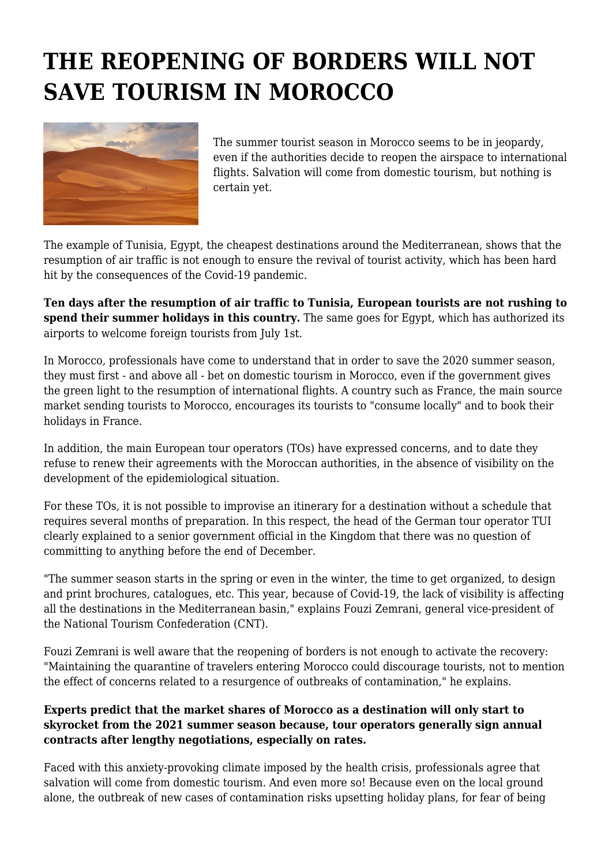## **THE REOPENING OF BORDERS WILL NOT SAVE TOURISM IN MOROCCO**



The summer tourist season in Morocco seems to be in jeopardy, even if the authorities decide to reopen the airspace to international flights. Salvation will come from domestic tourism, but nothing is certain yet.

The example of Tunisia, Egypt, the cheapest destinations around the Mediterranean, shows that the resumption of air traffic is not enough to ensure the revival of tourist activity, which has been hard hit by the consequences of the Covid-19 pandemic.

**Ten days after the resumption of air traffic to Tunisia, European tourists are not rushing to spend their summer holidays in this country.** The same goes for Egypt, which has authorized its airports to welcome foreign tourists from July 1st.

In Morocco, professionals have come to understand that in order to save the 2020 summer season, they must first - and above all - bet on domestic tourism in Morocco, even if the government gives the green light to the resumption of international flights. A country such as France, the main source market sending tourists to Morocco, encourages its tourists to "consume locally" and to book their holidays in France.

In addition, the main European tour operators (TOs) have expressed concerns, and to date they refuse to renew their agreements with the Moroccan authorities, in the absence of visibility on the development of the epidemiological situation.

For these TOs, it is not possible to improvise an itinerary for a destination without a schedule that requires several months of preparation. In this respect, the head of the German tour operator TUI clearly explained to a senior government official in the Kingdom that there was no question of committing to anything before the end of December.

"The summer season starts in the spring or even in the winter, the time to get organized, to design and print brochures, catalogues, etc. This year, because of Covid-19, the lack of visibility is affecting all the destinations in the Mediterranean basin," explains Fouzi Zemrani, general vice-president of the National Tourism Confederation (CNT).

Fouzi Zemrani is well aware that the reopening of borders is not enough to activate the recovery: "Maintaining the quarantine of travelers entering Morocco could discourage tourists, not to mention the effect of concerns related to a resurgence of outbreaks of contamination," he explains.

## **Experts predict that the market shares of Morocco as a destination will only start to skyrocket from the 2021 summer season because, tour operators generally sign annual contracts after lengthy negotiations, especially on rates.**

Faced with this anxiety-provoking climate imposed by the health crisis, professionals agree that salvation will come from domestic tourism. And even more so! Because even on the local ground alone, the outbreak of new cases of contamination risks upsetting holiday plans, for fear of being